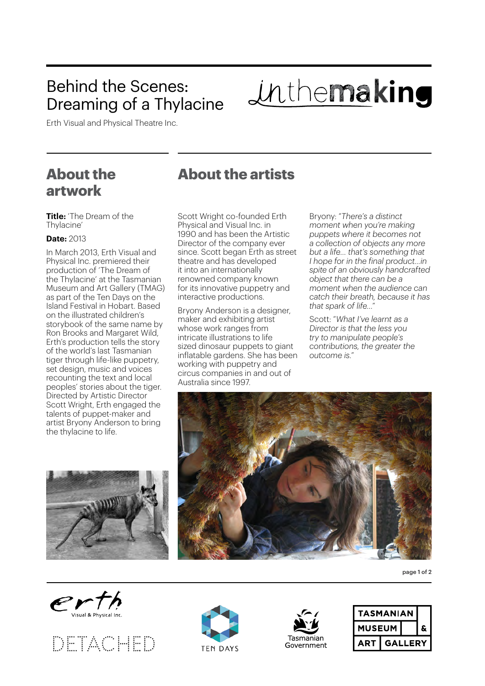# Behind the Scenes: Dreaming of a Thylacine

Inthemaking

Erth Visual and Physical Theatre Inc.

## **About the artwork**

**Title:** 'The Dream of the Thylacine'

#### **Date:** 2013

In March 2013, Erth Visual and Physical Inc. premiered their production of 'The Dream of the Thylacine' at the Tasmanian Museum and Art Gallery (TMAG) as part of the Ten Days on the Island Festival in Hobart. Based on the illustrated children's storybook of the same name by Ron Brooks and Margaret Wild, Erth's production tells the story of the world's last Tasmanian tiger through life-like puppetry, set design, music and voices recounting the text and local peoples' stories about the tiger. Directed by Artistic Director Scott Wright, Erth engaged the talents of puppet-maker and artist Bryony Anderson to bring the thylacine to life.



## **About the artists**

Scott Wright co-founded Erth Physical and Visual Inc. in 1990 and has been the Artistic Director of the company ever since. Scott began Erth as street theatre and has developed it into an internationally renowned company known for its innovative puppetry and interactive productions.

Bryony Anderson is a designer, maker and exhibiting artist whose work ranges from intricate illustrations to life sized dinosaur puppets to giant inflatable gardens. She has been working with puppetry and circus companies in and out of Australia since 1997.

Bryony: "*There's a distinct moment when you're making puppets where it becomes not a collection of objects any more but a life… that's something that I hope for in the final product…in spite of an obviously handcrafted object that there can be a moment when the audience can catch their breath, because it has that spark of life…*"

Scott: "*What I've learnt as a Director is that the less you try to manipulate people's contributions, the greater the outcome is.*"



page 1 of 2